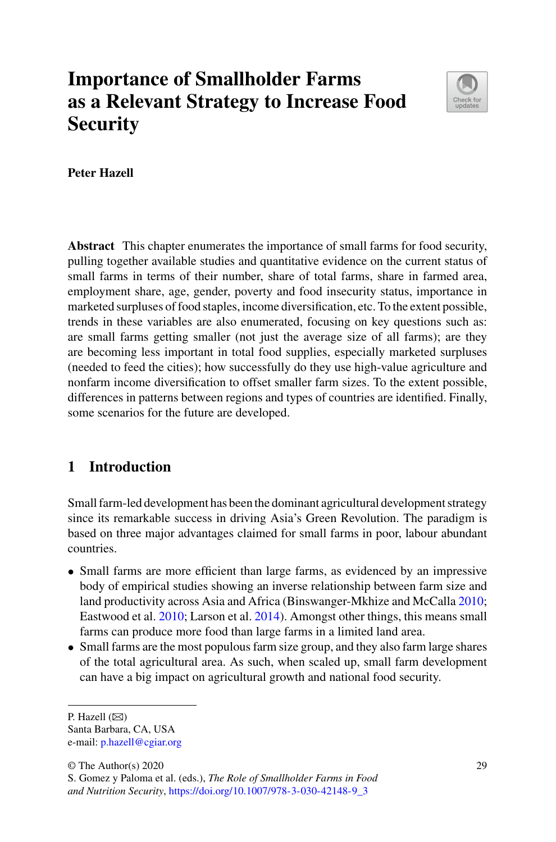# **Importance of Smallholder Farms as a Relevant Strategy to Increase Food Security**



#### **Peter Hazell**

**Abstract** This chapter enumerates the importance of small farms for food security, pulling together available studies and quantitative evidence on the current status of small farms in terms of their number, share of total farms, share in farmed area, employment share, age, gender, poverty and food insecurity status, importance in marketed surpluses of food staples, income diversification, etc. To the extent possible, trends in these variables are also enumerated, focusing on key questions such as: are small farms getting smaller (not just the average size of all farms); are they are becoming less important in total food supplies, especially marketed surpluses (needed to feed the cities); how successfully do they use high-value agriculture and nonfarm income diversification to offset smaller farm sizes. To the extent possible, differences in patterns between regions and types of countries are identified. Finally, some scenarios for the future are developed.

# **1 Introduction**

Small farm-led development has been the dominant agricultural development strategy since its remarkable success in driving Asia's Green Revolution. The paradigm is based on three major advantages claimed for small farms in poor, labour abundant countries.

- Small farms are more efficient than large farms, as evidenced by an impressive body of empirical studies showing an inverse relationship between farm size and land productivity across Asia and Africa (Binswanger-Mkhize and McCalla [2010;](#page-12-0) Eastwood et al. [2010;](#page-12-1) Larson et al. [2014\)](#page-13-0). Amongst other things, this means small farms can produce more food than large farms in a limited land area.
- Small farms are the most populous farm size group, and they also farm large shares of the total agricultural area. As such, when scaled up, small farm development can have a big impact on agricultural growth and national food security.

P. Hazell  $(\boxtimes)$ Santa Barbara, CA, USA e-mail: [p.hazell@cgiar.org](mailto:p.hazell@cgiar.org)

<sup>©</sup> The Author(s) 2020

S. Gomez y Paloma et al. (eds.), *The Role of Smallholder Farms in Food and Nutrition Security*, [https://doi.org/10.1007/978-3-030-42148-9\\_3](https://doi.org/10.1007/978-3-030-42148-9_3)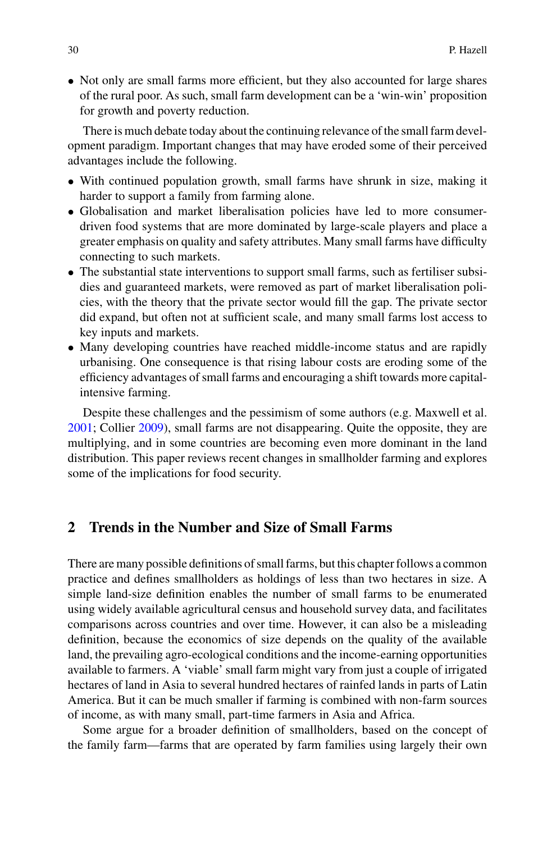• Not only are small farms more efficient, but they also accounted for large shares of the rural poor. As such, small farm development can be a 'win-win' proposition for growth and poverty reduction.

There is much debate today about the continuing relevance of the small farm development paradigm. Important changes that may have eroded some of their perceived advantages include the following.

- With continued population growth, small farms have shrunk in size, making it harder to support a family from farming alone.
- Globalisation and market liberalisation policies have led to more consumerdriven food systems that are more dominated by large-scale players and place a greater emphasis on quality and safety attributes. Many small farms have difficulty connecting to such markets.
- The substantial state interventions to support small farms, such as fertiliser subsidies and guaranteed markets, were removed as part of market liberalisation policies, with the theory that the private sector would fill the gap. The private sector did expand, but often not at sufficient scale, and many small farms lost access to key inputs and markets.
- Many developing countries have reached middle-income status and are rapidly urbanising. One consequence is that rising labour costs are eroding some of the efficiency advantages of small farms and encouraging a shift towards more capitalintensive farming.

Despite these challenges and the pessimism of some authors (e.g. Maxwell et al. [2001;](#page-13-1) Collier [2009\)](#page-12-2), small farms are not disappearing. Quite the opposite, they are multiplying, and in some countries are becoming even more dominant in the land distribution. This paper reviews recent changes in smallholder farming and explores some of the implications for food security.

## **2 Trends in the Number and Size of Small Farms**

There are many possible definitions of small farms, but this chapter follows a common practice and defines smallholders as holdings of less than two hectares in size. A simple land-size definition enables the number of small farms to be enumerated using widely available agricultural census and household survey data, and facilitates comparisons across countries and over time. However, it can also be a misleading definition, because the economics of size depends on the quality of the available land, the prevailing agro-ecological conditions and the income-earning opportunities available to farmers. A 'viable' small farm might vary from just a couple of irrigated hectares of land in Asia to several hundred hectares of rainfed lands in parts of Latin America. But it can be much smaller if farming is combined with non-farm sources of income, as with many small, part-time farmers in Asia and Africa.

Some argue for a broader definition of smallholders, based on the concept of the family farm—farms that are operated by farm families using largely their own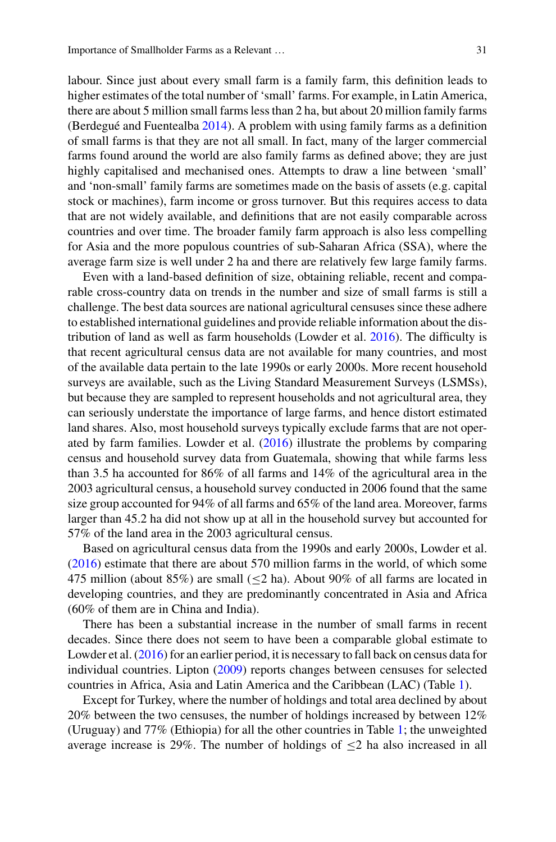labour. Since just about every small farm is a family farm, this definition leads to higher estimates of the total number of 'small' farms. For example, in Latin America, there are about 5 million small farms less than 2 ha, but about 20 million family farms (Berdegué and Fuentealba [2014\)](#page-12-3). A problem with using family farms as a definition of small farms is that they are not all small. In fact, many of the larger commercial farms found around the world are also family farms as defined above; they are just highly capitalised and mechanised ones. Attempts to draw a line between 'small' and 'non-small' family farms are sometimes made on the basis of assets (e.g. capital stock or machines), farm income or gross turnover. But this requires access to data that are not widely available, and definitions that are not easily comparable across countries and over time. The broader family farm approach is also less compelling for Asia and the more populous countries of sub-Saharan Africa (SSA), where the average farm size is well under 2 ha and there are relatively few large family farms.

Even with a land-based definition of size, obtaining reliable, recent and comparable cross-country data on trends in the number and size of small farms is still a challenge. The best data sources are national agricultural censuses since these adhere to established international guidelines and provide reliable information about the distribution of land as well as farm households (Lowder et al. [2016\)](#page-13-2). The difficulty is that recent agricultural census data are not available for many countries, and most of the available data pertain to the late 1990s or early 2000s. More recent household surveys are available, such as the Living Standard Measurement Surveys (LSMSs), but because they are sampled to represent households and not agricultural area, they can seriously understate the importance of large farms, and hence distort estimated land shares. Also, most household surveys typically exclude farms that are not operated by farm families. Lowder et al. [\(2016\)](#page-13-2) illustrate the problems by comparing census and household survey data from Guatemala, showing that while farms less than 3.5 ha accounted for 86% of all farms and 14% of the agricultural area in the 2003 agricultural census, a household survey conducted in 2006 found that the same size group accounted for 94% of all farms and 65% of the land area. Moreover, farms larger than 45.2 ha did not show up at all in the household survey but accounted for 57% of the land area in the 2003 agricultural census.

Based on agricultural census data from the 1990s and early 2000s, Lowder et al. [\(2016\)](#page-13-2) estimate that there are about 570 million farms in the world, of which some 475 million (about  $85\%$ ) are small (<2 ha). About 90% of all farms are located in developing countries, and they are predominantly concentrated in Asia and Africa (60% of them are in China and India).

There has been a substantial increase in the number of small farms in recent decades. Since there does not seem to have been a comparable global estimate to Lowder et al. [\(2016\)](#page-13-2) for an earlier period, it is necessary to fall back on census data for individual countries. Lipton [\(2009\)](#page-13-3) reports changes between censuses for selected countries in Africa, Asia and Latin America and the Caribbean (LAC) (Table [1\)](#page-3-0).

Except for Turkey, where the number of holdings and total area declined by about 20% between the two censuses, the number of holdings increased by between 12% (Uruguay) and 77% (Ethiopia) for all the other countries in Table [1;](#page-3-0) the unweighted average increase is 29%. The number of holdings of  $\leq$ 2 ha also increased in all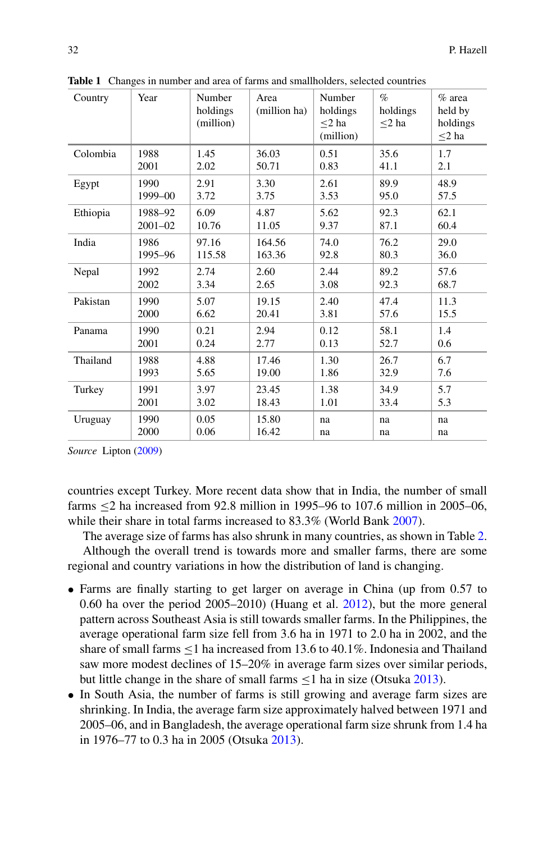| Country  | Year        | Number<br>holdings<br>(million) | Area<br>(million ha) | Number<br>holdings<br>$<$ 2 ha<br>(million) | $\%$<br>holdings<br>$<$ 2 ha | $%$ area<br>held by<br>holdings<br>$\leq$ 2 ha |
|----------|-------------|---------------------------------|----------------------|---------------------------------------------|------------------------------|------------------------------------------------|
| Colombia | 1988        | 1.45                            | 36.03                | 0.51                                        | 35.6                         | 1.7                                            |
|          | 2001        | 2.02                            | 50.71                | 0.83                                        | 41.1                         | 2.1                                            |
| Egypt    | 1990        | 2.91                            | 3.30                 | 2.61                                        | 89.9                         | 48.9                                           |
|          | 1999-00     | 3.72                            | 3.75                 | 3.53                                        | 95.0                         | 57.5                                           |
| Ethiopia | 1988-92     | 6.09                            | 4.87                 | 5.62                                        | 92.3                         | 62.1                                           |
|          | $2001 - 02$ | 10.76                           | 11.05                | 9.37                                        | 87.1                         | 60.4                                           |
| India    | 1986        | 97.16                           | 164.56               | 74.0                                        | 76.2                         | 29.0                                           |
|          | 1995-96     | 115.58                          | 163.36               | 92.8                                        | 80.3                         | 36.0                                           |
| Nepal    | 1992        | 2.74                            | 2.60                 | 2.44                                        | 89.2                         | 57.6                                           |
|          | 2002        | 3.34                            | 2.65                 | 3.08                                        | 92.3                         | 68.7                                           |
| Pakistan | 1990        | 5.07                            | 19.15                | 2.40                                        | 47.4                         | 11.3                                           |
|          | 2000        | 6.62                            | 20.41                | 3.81                                        | 57.6                         | 15.5                                           |
| Panama   | 1990        | 0.21                            | 2.94                 | 0.12                                        | 58.1                         | 1.4                                            |
|          | 2001        | 0.24                            | 2.77                 | 0.13                                        | 52.7                         | 0.6                                            |
| Thailand | 1988        | 4.88                            | 17.46                | 1.30                                        | 26.7                         | 6.7                                            |
|          | 1993        | 5.65                            | 19.00                | 1.86                                        | 32.9                         | 7.6                                            |
| Turkey   | 1991        | 3.97                            | 23.45                | 1.38                                        | 34.9                         | 5.7                                            |
|          | 2001        | 3.02                            | 18.43                | 1.01                                        | 33.4                         | 5.3                                            |
| Uruguay  | 1990        | 0.05                            | 15.80                | na                                          | na                           | na                                             |
|          | 2000        | 0.06                            | 16.42                | na                                          | na                           | na                                             |

<span id="page-3-0"></span>**Table 1** Changes in number and area of farms and smallholders, selected countries

*Source* Lipton [\(2009\)](#page-13-3)

countries except Turkey. More recent data show that in India, the number of small farms ≤2 ha increased from 92.8 million in 1995–96 to 107.6 million in 2005–06, while their share in total farms increased to 83.3% (World Bank [2007\)](#page-13-4).

The average size of farms has also shrunk in many countries, as shown in Table [2.](#page-4-0)

Although the overall trend is towards more and smaller farms, there are some regional and country variations in how the distribution of land is changing.

- Farms are finally starting to get larger on average in China (up from 0.57 to 0.60 ha over the period 2005–2010) (Huang et al. [2012\)](#page-12-4), but the more general pattern across Southeast Asia is still towards smaller farms. In the Philippines, the average operational farm size fell from 3.6 ha in 1971 to 2.0 ha in 2002, and the share of small farms ≤1 ha increased from 13.6 to 40.1%. Indonesia and Thailand saw more modest declines of 15–20% in average farm sizes over similar periods, but little change in the share of small farms ≤1 ha in size (Otsuka [2013\)](#page-13-5).
- In South Asia, the number of farms is still growing and average farm sizes are shrinking. In India, the average farm size approximately halved between 1971 and 2005–06, and in Bangladesh, the average operational farm size shrunk from 1.4 ha in 1976–77 to 0.3 ha in 2005 (Otsuka [2013\)](#page-13-5).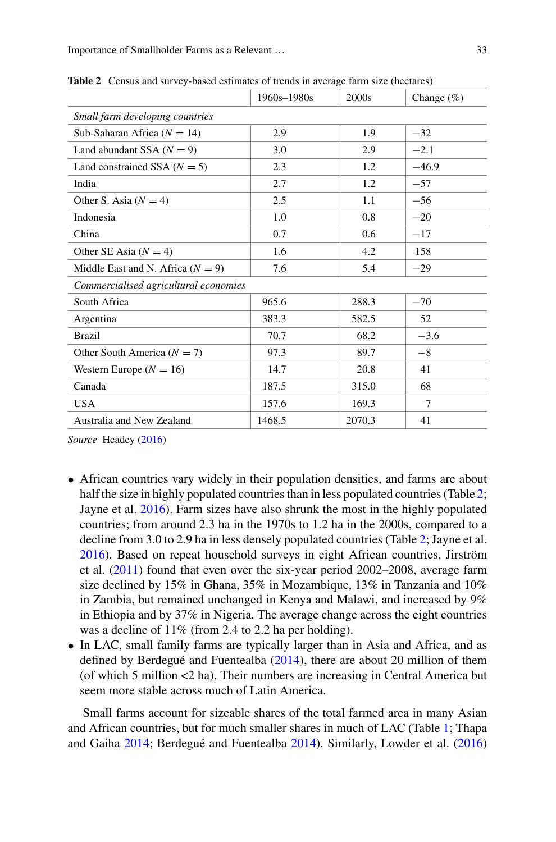|                                       | 1960s-1980s | 2000s  | Change $(\% )$ |  |  |  |  |
|---------------------------------------|-------------|--------|----------------|--|--|--|--|
| Small farm developing countries       |             |        |                |  |  |  |  |
| Sub-Saharan Africa ( $N = 14$ )       | 2.9         | 1.9    | $-32$          |  |  |  |  |
| Land abundant SSA $(N = 9)$           | 3.0         | 2.9    | $-2.1$         |  |  |  |  |
| Land constrained SSA $(N = 5)$        | 2.3         | 1.2    | $-46.9$        |  |  |  |  |
| India                                 | 2.7         | 1.2    | $-57$          |  |  |  |  |
| Other S. Asia $(N = 4)$               | 2.5         | 1.1    | $-56$          |  |  |  |  |
| Indonesia                             | 1.0         | 0.8    | $-20$          |  |  |  |  |
| China                                 | 0.7         | 0.6    | $-17$          |  |  |  |  |
| Other SE Asia $(N = 4)$               | 1.6         | 4.2    | 158            |  |  |  |  |
| Middle East and N. Africa $(N = 9)$   | 7.6         | 5.4    | $-29$          |  |  |  |  |
| Commercialised agricultural economies |             |        |                |  |  |  |  |
| South Africa                          | 965.6       | 288.3  | $-70$          |  |  |  |  |
| Argentina                             | 383.3       | 582.5  | 52             |  |  |  |  |
| <b>Brazil</b>                         | 70.7        | 68.2   | $-3.6$         |  |  |  |  |
| Other South America ( $N = 7$ )       | 97.3        | 89.7   | $-8$           |  |  |  |  |
| Western Europe $(N = 16)$             | 14.7        | 20.8   | 41             |  |  |  |  |
| Canada                                | 187.5       | 315.0  | 68             |  |  |  |  |
| <b>USA</b>                            | 157.6       | 169.3  | 7              |  |  |  |  |
| Australia and New Zealand             | 1468.5      | 2070.3 | 41             |  |  |  |  |

<span id="page-4-0"></span>**Table 2** Census and survey-based estimates of trends in average farm size (hectares)

*Source* Headey [\(2016\)](#page-12-5)

- African countries vary widely in their population densities, and farms are about half the size in highly populated countries than in less populated countries (Table [2;](#page-4-0) Jayne et al. [2016\)](#page-12-6). Farm sizes have also shrunk the most in the highly populated countries; from around 2.3 ha in the 1970s to 1.2 ha in the 2000s, compared to a decline from 3.0 to 2.9 ha in less densely populated countries (Table [2;](#page-4-0) Jayne et al. [2016\)](#page-12-6). Based on repeat household surveys in eight African countries, Jirström et al. [\(2011\)](#page-13-6) found that even over the six-year period 2002–2008, average farm size declined by 15% in Ghana, 35% in Mozambique, 13% in Tanzania and 10% in Zambia, but remained unchanged in Kenya and Malawi, and increased by 9% in Ethiopia and by 37% in Nigeria. The average change across the eight countries was a decline of  $11\%$  (from 2.4 to 2.2 ha per holding).
- In LAC, small family farms are typically larger than in Asia and Africa, and as defined by Berdegué and Fuentealba [\(2014\)](#page-12-3), there are about 20 million of them (of which 5 million <2 ha). Their numbers are increasing in Central America but seem more stable across much of Latin America.

Small farms account for sizeable shares of the total farmed area in many Asian and African countries, but for much smaller shares in much of LAC (Table [1;](#page-3-0) Thapa and Gaiha [2014;](#page-13-7) Berdegué and Fuentealba [2014\)](#page-12-3). Similarly, Lowder et al. [\(2016\)](#page-13-2)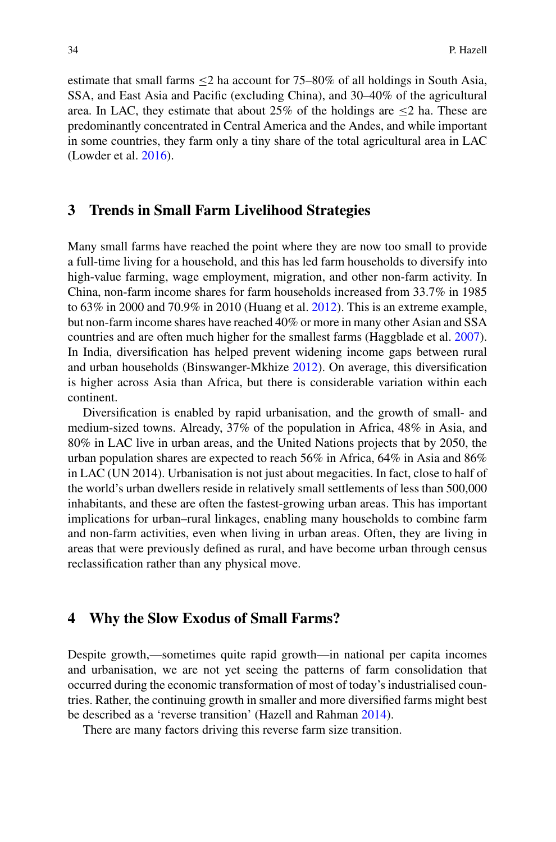estimate that small farms  $\leq 2$  ha account for 75–80% of all holdings in South Asia, SSA, and East Asia and Pacific (excluding China), and 30–40% of the agricultural area. In LAC, they estimate that about  $25\%$  of the holdings are  $\leq 2$  ha. These are predominantly concentrated in Central America and the Andes, and while important in some countries, they farm only a tiny share of the total agricultural area in LAC (Lowder et al. [2016\)](#page-13-2).

#### **3 Trends in Small Farm Livelihood Strategies**

Many small farms have reached the point where they are now too small to provide a full-time living for a household, and this has led farm households to diversify into high-value farming, wage employment, migration, and other non-farm activity. In China, non-farm income shares for farm households increased from 33.7% in 1985 to  $63\%$  in 2000 and  $70.9\%$  in 2010 (Huang et al. [2012\)](#page-12-4). This is an extreme example, but non-farm income shares have reached 40% or more in many other Asian and SSA countries and are often much higher for the smallest farms (Haggblade et al. [2007\)](#page-12-7). In India, diversification has helped prevent widening income gaps between rural and urban households (Binswanger-Mkhize [2012\)](#page-12-8). On average, this diversification is higher across Asia than Africa, but there is considerable variation within each continent.

Diversification is enabled by rapid urbanisation, and the growth of small- and medium-sized towns. Already, 37% of the population in Africa, 48% in Asia, and 80% in LAC live in urban areas, and the United Nations projects that by 2050, the urban population shares are expected to reach 56% in Africa, 64% in Asia and 86% in LAC (UN 2014). Urbanisation is not just about megacities. In fact, close to half of the world's urban dwellers reside in relatively small settlements of less than 500,000 inhabitants, and these are often the fastest-growing urban areas. This has important implications for urban–rural linkages, enabling many households to combine farm and non-farm activities, even when living in urban areas. Often, they are living in areas that were previously defined as rural, and have become urban through census reclassification rather than any physical move.

## **4 Why the Slow Exodus of Small Farms?**

Despite growth,—sometimes quite rapid growth—in national per capita incomes and urbanisation, we are not yet seeing the patterns of farm consolidation that occurred during the economic transformation of most of today's industrialised countries. Rather, the continuing growth in smaller and more diversified farms might best be described as a 'reverse transition' (Hazell and Rahman [2014\)](#page-12-9).

There are many factors driving this reverse farm size transition.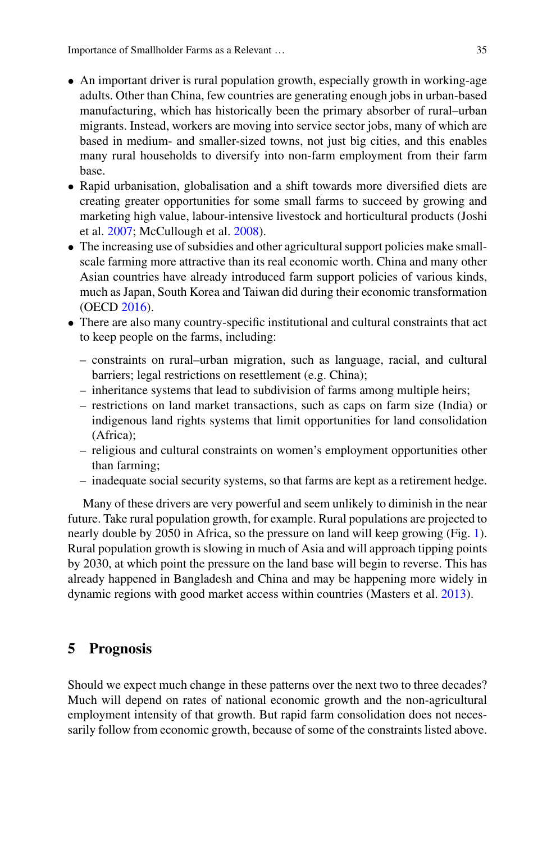- An important driver is rural population growth, especially growth in working-age adults. Other than China, few countries are generating enough jobs in urban-based manufacturing, which has historically been the primary absorber of rural–urban migrants. Instead, workers are moving into service sector jobs, many of which are based in medium- and smaller-sized towns, not just big cities, and this enables many rural households to diversify into non-farm employment from their farm base.
- Rapid urbanisation, globalisation and a shift towards more diversified diets are creating greater opportunities for some small farms to succeed by growing and marketing high value, labour-intensive livestock and horticultural products (Joshi et al. [2007;](#page-13-8) McCullough et al. [2008\)](#page-13-9).
- The increasing use of subsidies and other agricultural support policies make smallscale farming more attractive than its real economic worth. China and many other Asian countries have already introduced farm support policies of various kinds, much as Japan, South Korea and Taiwan did during their economic transformation (OECD [2016\)](#page-13-10).
- There are also many country-specific institutional and cultural constraints that act to keep people on the farms, including:
	- constraints on rural–urban migration, such as language, racial, and cultural barriers; legal restrictions on resettlement (e.g. China);
	- inheritance systems that lead to subdivision of farms among multiple heirs;
	- restrictions on land market transactions, such as caps on farm size (India) or indigenous land rights systems that limit opportunities for land consolidation (Africa);
	- religious and cultural constraints on women's employment opportunities other than farming;
	- inadequate social security systems, so that farms are kept as a retirement hedge.

Many of these drivers are very powerful and seem unlikely to diminish in the near future. Take rural population growth, for example. Rural populations are projected to nearly double by 2050 in Africa, so the pressure on land will keep growing (Fig. [1\)](#page-7-0). Rural population growth is slowing in much of Asia and will approach tipping points by 2030, at which point the pressure on the land base will begin to reverse. This has already happened in Bangladesh and China and may be happening more widely in dynamic regions with good market access within countries (Masters et al. [2013\)](#page-13-11).

## **5 Prognosis**

Should we expect much change in these patterns over the next two to three decades? Much will depend on rates of national economic growth and the non-agricultural employment intensity of that growth. But rapid farm consolidation does not necessarily follow from economic growth, because of some of the constraints listed above.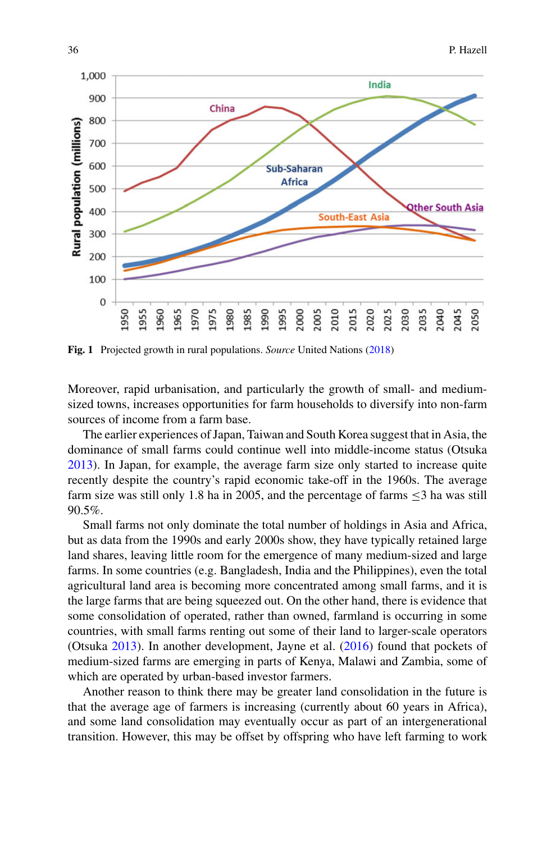

<span id="page-7-0"></span>**Fig. 1** Projected growth in rural populations. *Source* United Nations [\(2018\)](#page-13-12)

Moreover, rapid urbanisation, and particularly the growth of small- and mediumsized towns, increases opportunities for farm households to diversify into non-farm sources of income from a farm base.

The earlier experiences of Japan, Taiwan and South Korea suggest that in Asia, the dominance of small farms could continue well into middle-income status (Otsuka [2013\)](#page-13-5). In Japan, for example, the average farm size only started to increase quite recently despite the country's rapid economic take-off in the 1960s. The average farm size was still only 1.8 ha in 2005, and the percentage of farms ≤3 ha was still 90.5%.

Small farms not only dominate the total number of holdings in Asia and Africa, but as data from the 1990s and early 2000s show, they have typically retained large land shares, leaving little room for the emergence of many medium-sized and large farms. In some countries (e.g. Bangladesh, India and the Philippines), even the total agricultural land area is becoming more concentrated among small farms, and it is the large farms that are being squeezed out. On the other hand, there is evidence that some consolidation of operated, rather than owned, farmland is occurring in some countries, with small farms renting out some of their land to larger-scale operators (Otsuka [2013\)](#page-13-5). In another development, Jayne et al. [\(2016\)](#page-12-6) found that pockets of medium-sized farms are emerging in parts of Kenya, Malawi and Zambia, some of which are operated by urban-based investor farmers.

Another reason to think there may be greater land consolidation in the future is that the average age of farmers is increasing (currently about 60 years in Africa), and some land consolidation may eventually occur as part of an intergenerational transition. However, this may be offset by offspring who have left farming to work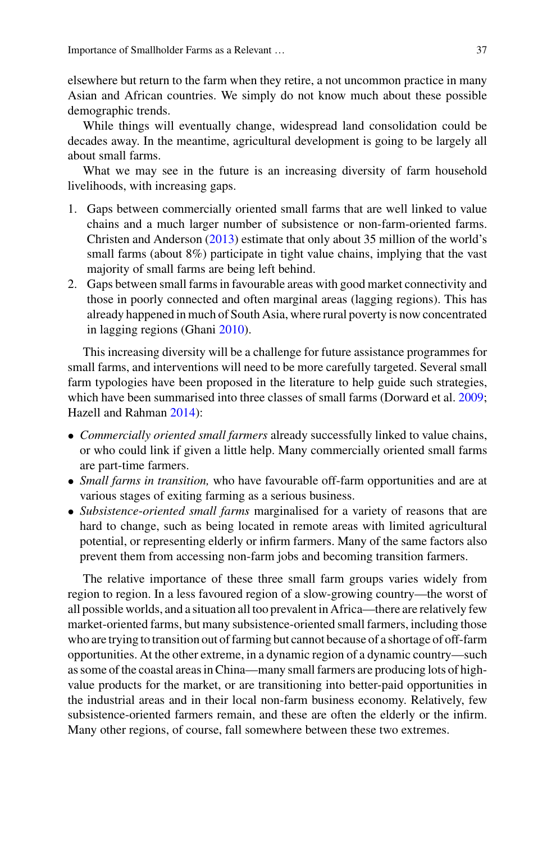elsewhere but return to the farm when they retire, a not uncommon practice in many Asian and African countries. We simply do not know much about these possible demographic trends.

While things will eventually change, widespread land consolidation could be decades away. In the meantime, agricultural development is going to be largely all about small farms.

What we may see in the future is an increasing diversity of farm household livelihoods, with increasing gaps.

- 1. Gaps between commercially oriented small farms that are well linked to value chains and a much larger number of subsistence or non-farm-oriented farms. Christen and Anderson [\(2013\)](#page-12-10) estimate that only about 35 million of the world's small farms (about 8%) participate in tight value chains, implying that the vast majority of small farms are being left behind.
- 2. Gaps between small farms in favourable areas with good market connectivity and those in poorly connected and often marginal areas (lagging regions). This has already happened in much of South Asia, where rural poverty is now concentrated in lagging regions (Ghani [2010\)](#page-12-11).

This increasing diversity will be a challenge for future assistance programmes for small farms, and interventions will need to be more carefully targeted. Several small farm typologies have been proposed in the literature to help guide such strategies, which have been summarised into three classes of small farms (Dorward et al. [2009;](#page-12-12) Hazell and Rahman [2014\)](#page-12-9):

- *Commercially oriented small farmers* already successfully linked to value chains, or who could link if given a little help. Many commercially oriented small farms are part-time farmers.
- *Small farms in transition,* who have favourable off-farm opportunities and are at various stages of exiting farming as a serious business.
- *Subsistence*-*oriented small farms* marginalised for a variety of reasons that are hard to change, such as being located in remote areas with limited agricultural potential, or representing elderly or infirm farmers. Many of the same factors also prevent them from accessing non-farm jobs and becoming transition farmers.

The relative importance of these three small farm groups varies widely from region to region. In a less favoured region of a slow-growing country—the worst of all possible worlds, and a situation all too prevalent in Africa—there are relatively few market-oriented farms, but many subsistence-oriented small farmers, including those who are trying to transition out of farming but cannot because of a shortage of off-farm opportunities. At the other extreme, in a dynamic region of a dynamic country—such as some of the coastal areas in China—many small farmers are producing lots of highvalue products for the market, or are transitioning into better-paid opportunities in the industrial areas and in their local non-farm business economy. Relatively, few subsistence-oriented farmers remain, and these are often the elderly or the infirm. Many other regions, of course, fall somewhere between these two extremes.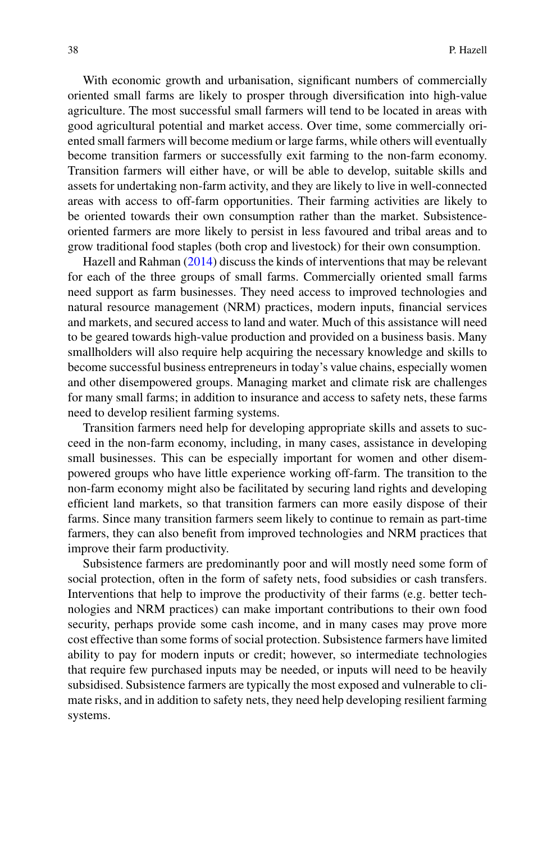With economic growth and urbanisation, significant numbers of commercially oriented small farms are likely to prosper through diversification into high-value agriculture. The most successful small farmers will tend to be located in areas with good agricultural potential and market access. Over time, some commercially oriented small farmers will become medium or large farms, while others will eventually become transition farmers or successfully exit farming to the non-farm economy. Transition farmers will either have, or will be able to develop, suitable skills and assets for undertaking non-farm activity, and they are likely to live in well-connected areas with access to off-farm opportunities. Their farming activities are likely to be oriented towards their own consumption rather than the market. Subsistenceoriented farmers are more likely to persist in less favoured and tribal areas and to grow traditional food staples (both crop and livestock) for their own consumption.

Hazell and Rahman [\(2014\)](#page-12-9) discuss the kinds of interventions that may be relevant for each of the three groups of small farms. Commercially oriented small farms need support as farm businesses. They need access to improved technologies and natural resource management (NRM) practices, modern inputs, financial services and markets, and secured access to land and water. Much of this assistance will need to be geared towards high-value production and provided on a business basis. Many smallholders will also require help acquiring the necessary knowledge and skills to become successful business entrepreneurs in today's value chains, especially women and other disempowered groups. Managing market and climate risk are challenges for many small farms; in addition to insurance and access to safety nets, these farms need to develop resilient farming systems.

Transition farmers need help for developing appropriate skills and assets to succeed in the non-farm economy, including, in many cases, assistance in developing small businesses. This can be especially important for women and other disempowered groups who have little experience working off-farm. The transition to the non-farm economy might also be facilitated by securing land rights and developing efficient land markets, so that transition farmers can more easily dispose of their farms. Since many transition farmers seem likely to continue to remain as part-time farmers, they can also benefit from improved technologies and NRM practices that improve their farm productivity.

Subsistence farmers are predominantly poor and will mostly need some form of social protection, often in the form of safety nets, food subsidies or cash transfers. Interventions that help to improve the productivity of their farms (e.g. better technologies and NRM practices) can make important contributions to their own food security, perhaps provide some cash income, and in many cases may prove more cost effective than some forms of social protection. Subsistence farmers have limited ability to pay for modern inputs or credit; however, so intermediate technologies that require few purchased inputs may be needed, or inputs will need to be heavily subsidised. Subsistence farmers are typically the most exposed and vulnerable to climate risks, and in addition to safety nets, they need help developing resilient farming systems.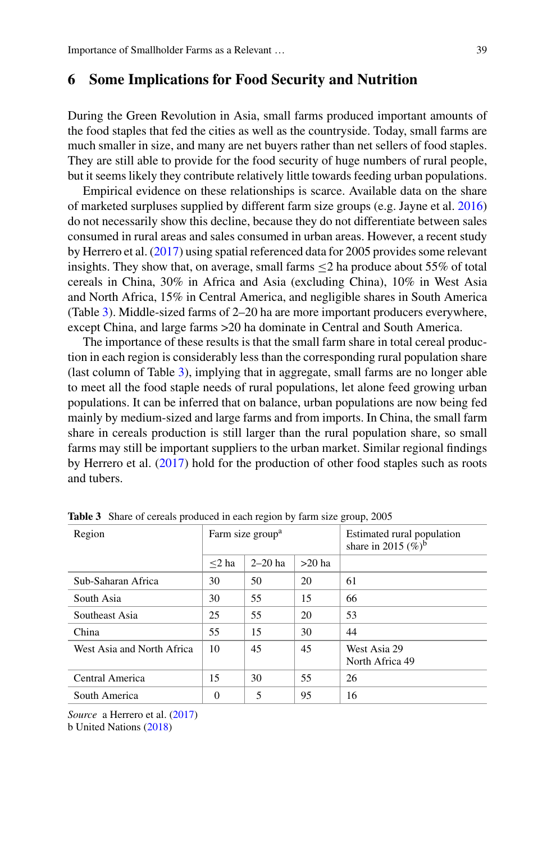## **6 Some Implications for Food Security and Nutrition**

During the Green Revolution in Asia, small farms produced important amounts of the food staples that fed the cities as well as the countryside. Today, small farms are much smaller in size, and many are net buyers rather than net sellers of food staples. They are still able to provide for the food security of huge numbers of rural people, but it seems likely they contribute relatively little towards feeding urban populations.

Empirical evidence on these relationships is scarce. Available data on the share of marketed surpluses supplied by different farm size groups (e.g. Jayne et al. [2016\)](#page-12-6) do not necessarily show this decline, because they do not differentiate between sales consumed in rural areas and sales consumed in urban areas. However, a recent study by Herrero et al. [\(2017\)](#page-12-13) using spatial referenced data for 2005 provides some relevant insights. They show that, on average, small farms  $\leq$  2 ha produce about 55% of total cereals in China, 30% in Africa and Asia (excluding China), 10% in West Asia and North Africa, 15% in Central America, and negligible shares in South America (Table [3\)](#page-10-0). Middle-sized farms of 2–20 ha are more important producers everywhere, except China, and large farms >20 ha dominate in Central and South America.

The importance of these results is that the small farm share in total cereal production in each region is considerably less than the corresponding rural population share (last column of Table [3\)](#page-10-0), implying that in aggregate, small farms are no longer able to meet all the food staple needs of rural populations, let alone feed growing urban populations. It can be inferred that on balance, urban populations are now being fed mainly by medium-sized and large farms and from imports. In China, the small farm share in cereals production is still larger than the rural population share, so small farms may still be important suppliers to the urban market. Similar regional findings by Herrero et al. [\(2017\)](#page-12-13) hold for the production of other food staples such as roots and tubers.

| Region                     | Farm size group <sup>a</sup> |             |          | Estimated rural population<br>share in 2015 $(\%)^b$ |
|----------------------------|------------------------------|-------------|----------|------------------------------------------------------|
|                            | $<$ 2 ha                     | $2 - 20$ ha | $>20$ ha |                                                      |
| Sub-Saharan Africa         | 30                           | 50          | 20       | 61                                                   |
| South Asia                 | 30                           | 55          | 15       | 66                                                   |
| Southeast Asia             | 25                           | 55          | 20       | 53                                                   |
| China                      | 55                           | 15          | 30       | 44                                                   |
| West Asia and North Africa | 10                           | 45          | 45       | West Asia 29<br>North Africa 49                      |
| Central America            | 15                           | 30          | 55       | 26                                                   |
| South America              | $\Omega$                     | 5           | 95       | 16                                                   |

<span id="page-10-0"></span>**Table 3** Share of cereals produced in each region by farm size group, 2005

*Source* a Herrero et al. [\(2017\)](#page-12-13)

b United Nations [\(2018\)](#page-13-12)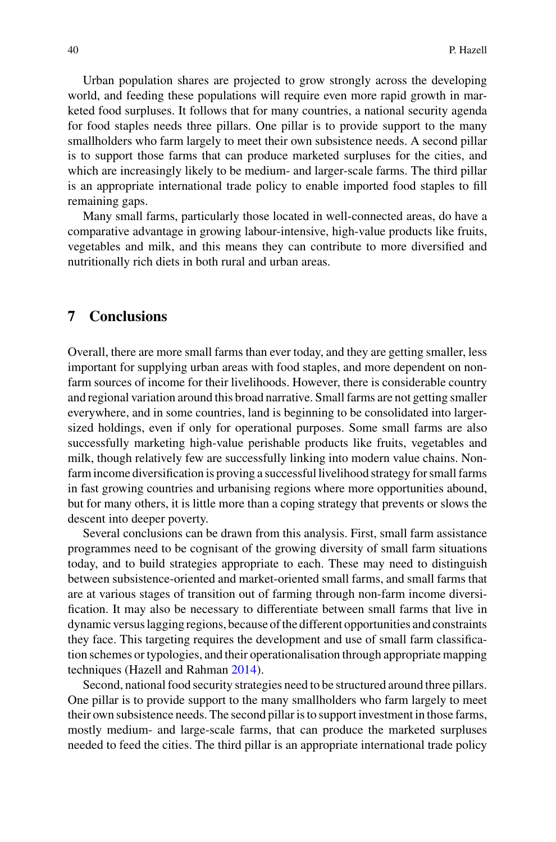Urban population shares are projected to grow strongly across the developing world, and feeding these populations will require even more rapid growth in marketed food surpluses. It follows that for many countries, a national security agenda for food staples needs three pillars. One pillar is to provide support to the many smallholders who farm largely to meet their own subsistence needs. A second pillar is to support those farms that can produce marketed surpluses for the cities, and which are increasingly likely to be medium- and larger-scale farms. The third pillar is an appropriate international trade policy to enable imported food staples to fill remaining gaps.

Many small farms, particularly those located in well-connected areas, do have a comparative advantage in growing labour-intensive, high-value products like fruits, vegetables and milk, and this means they can contribute to more diversified and nutritionally rich diets in both rural and urban areas.

### **7 Conclusions**

Overall, there are more small farms than ever today, and they are getting smaller, less important for supplying urban areas with food staples, and more dependent on nonfarm sources of income for their livelihoods. However, there is considerable country and regional variation around this broad narrative. Small farms are not getting smaller everywhere, and in some countries, land is beginning to be consolidated into largersized holdings, even if only for operational purposes. Some small farms are also successfully marketing high-value perishable products like fruits, vegetables and milk, though relatively few are successfully linking into modern value chains. Nonfarm income diversification is proving a successful livelihood strategy for small farms in fast growing countries and urbanising regions where more opportunities abound, but for many others, it is little more than a coping strategy that prevents or slows the descent into deeper poverty.

Several conclusions can be drawn from this analysis. First, small farm assistance programmes need to be cognisant of the growing diversity of small farm situations today, and to build strategies appropriate to each. These may need to distinguish between subsistence-oriented and market-oriented small farms, and small farms that are at various stages of transition out of farming through non-farm income diversification. It may also be necessary to differentiate between small farms that live in dynamic versus lagging regions, because of the different opportunities and constraints they face. This targeting requires the development and use of small farm classification schemes or typologies, and their operationalisation through appropriate mapping techniques (Hazell and Rahman [2014\)](#page-12-9).

Second, national food security strategies need to be structured around three pillars. One pillar is to provide support to the many smallholders who farm largely to meet their own subsistence needs. The second pillar is to support investment in those farms, mostly medium- and large-scale farms, that can produce the marketed surpluses needed to feed the cities. The third pillar is an appropriate international trade policy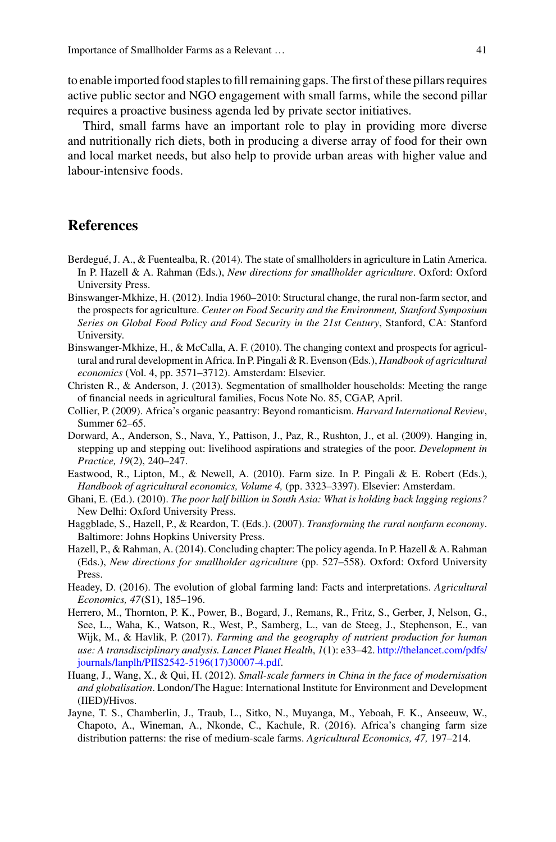to enable imported food staples to fill remaining gaps. The first of these pillars requires active public sector and NGO engagement with small farms, while the second pillar requires a proactive business agenda led by private sector initiatives.

Third, small farms have an important role to play in providing more diverse and nutritionally rich diets, both in producing a diverse array of food for their own and local market needs, but also help to provide urban areas with higher value and labour-intensive foods.

### **References**

- <span id="page-12-3"></span>Berdegué, J. A., & Fuentealba, R. (2014). The state of smallholders in agriculture in Latin America. In P. Hazell & A. Rahman (Eds.), *New directions for smallholder agriculture*. Oxford: Oxford University Press.
- <span id="page-12-8"></span>Binswanger-Mkhize, H. (2012). India 1960–2010: Structural change, the rural non-farm sector, and the prospects for agriculture. *Center on Food Security and the Environment, Stanford Symposium Series on Global Food Policy and Food Security in the 21st Century*, Stanford, CA: Stanford University.
- <span id="page-12-0"></span>Binswanger-Mkhize, H., & McCalla, A. F. (2010). The changing context and prospects for agricultural and rural development in Africa. In P. Pingali & R. Evenson (Eds.), *Handbook of agricultural economics* (Vol. 4, pp. 3571–3712). Amsterdam: Elsevier.
- <span id="page-12-10"></span>Christen R., & Anderson, J. (2013). Segmentation of smallholder households: Meeting the range of financial needs in agricultural families, Focus Note No. 85, CGAP, April.
- <span id="page-12-2"></span>Collier, P. (2009). Africa's organic peasantry: Beyond romanticism. *Harvard International Review*, Summer 62–65.
- <span id="page-12-12"></span>Dorward, A., Anderson, S., Nava, Y., Pattison, J., Paz, R., Rushton, J., et al. (2009). Hanging in, stepping up and stepping out: livelihood aspirations and strategies of the poor. *Development in Practice, 19*(2), 240–247.
- <span id="page-12-1"></span>Eastwood, R., Lipton, M., & Newell, A. (2010). Farm size. In P. Pingali & E. Robert (Eds.), *Handbook of agricultural economics, Volume 4,* (pp. 3323–3397). Elsevier: Amsterdam.
- <span id="page-12-11"></span>Ghani, E. (Ed.). (2010). *The poor half billion in South Asia: What is holding back lagging regions?* New Delhi: Oxford University Press.
- <span id="page-12-7"></span>Haggblade, S., Hazell, P., & Reardon, T. (Eds.). (2007). *Transforming the rural nonfarm economy*. Baltimore: Johns Hopkins University Press.
- <span id="page-12-9"></span>Hazell, P., & Rahman, A. (2014). Concluding chapter: The policy agenda. In P. Hazell & A. Rahman (Eds.), *New directions for smallholder agriculture* (pp. 527–558). Oxford: Oxford University Press.
- <span id="page-12-5"></span>Headey, D. (2016). The evolution of global farming land: Facts and interpretations. *Agricultural Economics, 47*(S1), 185–196.
- <span id="page-12-13"></span>Herrero, M., Thornton, P. K., Power, B., Bogard, J., Remans, R., Fritz, S., Gerber, J, Nelson, G., See, L., Waha, K., Watson, R., West, P., Samberg, L., van de Steeg, J., Stephenson, E., van Wijk, M., & Havlik, P. (2017). *Farming and the geography of nutrient production for human [use: A transdisciplinary analysis. Lancet Planet Health](http://thelancet.com/pdfs/journals/lanplh/PIIS2542-5196(17)30007-4.pdf)*, *1*(1): e33–42. http://thelancet.com/pdfs/ journals/lanplh/PIIS2542-5196(17)30007-4.pdf.
- <span id="page-12-4"></span>Huang, J., Wang, X., & Qui, H. (2012). *Small-scale farmers in China in the face of modernisation and globalisation*. London/The Hague: International Institute for Environment and Development (IIED)/Hivos.
- <span id="page-12-6"></span>Jayne, T. S., Chamberlin, J., Traub, L., Sitko, N., Muyanga, M., Yeboah, F. K., Anseeuw, W., Chapoto, A., Wineman, A., Nkonde, C., Kachule, R. (2016). Africa's changing farm size distribution patterns: the rise of medium-scale farms. *Agricultural Economics, 47,* 197–214.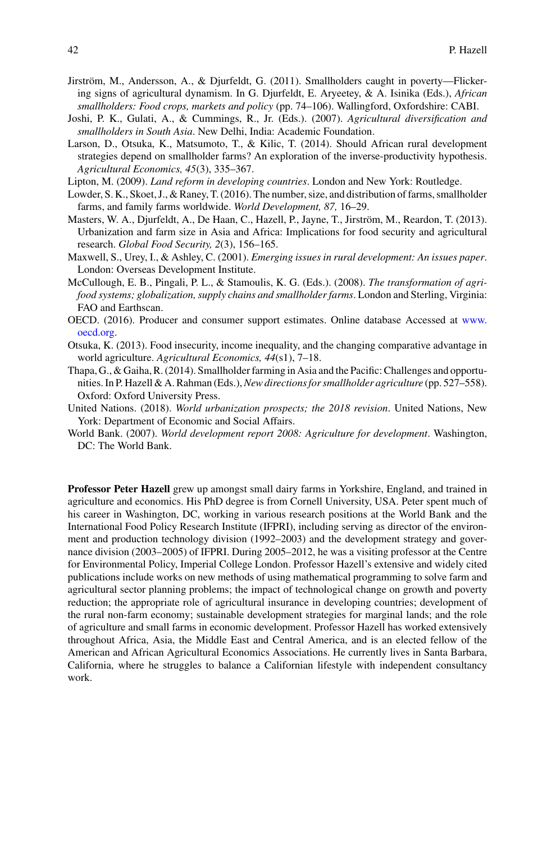- <span id="page-13-6"></span>Jirström, M., Andersson, A., & Djurfeldt, G. (2011). Smallholders caught in poverty—Flickering signs of agricultural dynamism. In G. Djurfeldt, E. Aryeetey, & A. Isinika (Eds.), *African smallholders: Food crops, markets and policy* (pp. 74–106). Wallingford, Oxfordshire: CABI.
- <span id="page-13-8"></span>Joshi, P. K., Gulati, A., & Cummings, R., Jr. (Eds.). (2007). *Agricultural diversification and smallholders in South Asia*. New Delhi, India: Academic Foundation.
- <span id="page-13-0"></span>Larson, D., Otsuka, K., Matsumoto, T., & Kilic, T. (2014). Should African rural development strategies depend on smallholder farms? An exploration of the inverse-productivity hypothesis. *Agricultural Economics, 45*(3), 335–367.

<span id="page-13-3"></span>Lipton, M. (2009). *Land reform in developing countries*. London and New York: Routledge.

- <span id="page-13-2"></span>Lowder, S. K., Skoet, J., & Raney, T. (2016). The number, size, and distribution of farms, smallholder farms, and family farms worldwide. *World Development, 87,* 16–29.
- <span id="page-13-11"></span>Masters, W. A., Djurfeldt, A., De Haan, C., Hazell, P., Jayne, T., Jirström, M., Reardon, T. (2013). Urbanization and farm size in Asia and Africa: Implications for food security and agricultural research. *Global Food Security, 2*(3), 156–165.
- <span id="page-13-1"></span>Maxwell, S., Urey, I., & Ashley, C. (2001). *Emerging issues in rural development: An issues paper*. London: Overseas Development Institute.
- <span id="page-13-9"></span>McCullough, E. B., Pingali, P. L., & Stamoulis, K. G. (Eds.). (2008). *The transformation of agrifood systems; globalization, supply chains and smallholder farms*. London and Sterling, Virginia: FAO and Earthscan.
- <span id="page-13-10"></span>[OECD. \(2016\). Producer and consumer support estimates. Online database Accessed at](http://www.oecd.org) www. oecd.org.
- <span id="page-13-5"></span>Otsuka, K. (2013). Food insecurity, income inequality, and the changing comparative advantage in world agriculture. *Agricultural Economics, 44*(s1), 7–18.
- <span id="page-13-7"></span>Thapa, G., & Gaiha, R. (2014). Smallholder farming in Asia and the Pacific: Challenges and opportunities. In P. Hazell & A. Rahman (Eds.),*New directions for smallholder agriculture* (pp. 527–558). Oxford: Oxford University Press.
- <span id="page-13-12"></span>United Nations. (2018). *World urbanization prospects; the 2018 revision*. United Nations, New York: Department of Economic and Social Affairs.
- <span id="page-13-4"></span>World Bank. (2007). *World development report 2008: Agriculture for development*. Washington, DC: The World Bank.

**Professor Peter Hazell** grew up amongst small dairy farms in Yorkshire, England, and trained in agriculture and economics. His PhD degree is from Cornell University, USA. Peter spent much of his career in Washington, DC, working in various research positions at the World Bank and the International Food Policy Research Institute (IFPRI), including serving as director of the environment and production technology division (1992–2003) and the development strategy and governance division (2003–2005) of IFPRI. During 2005–2012, he was a visiting professor at the Centre for Environmental Policy, Imperial College London. Professor Hazell's extensive and widely cited publications include works on new methods of using mathematical programming to solve farm and agricultural sector planning problems; the impact of technological change on growth and poverty reduction; the appropriate role of agricultural insurance in developing countries; development of the rural non-farm economy; sustainable development strategies for marginal lands; and the role of agriculture and small farms in economic development. Professor Hazell has worked extensively throughout Africa, Asia, the Middle East and Central America, and is an elected fellow of the American and African Agricultural Economics Associations. He currently lives in Santa Barbara, California, where he struggles to balance a Californian lifestyle with independent consultancy work.